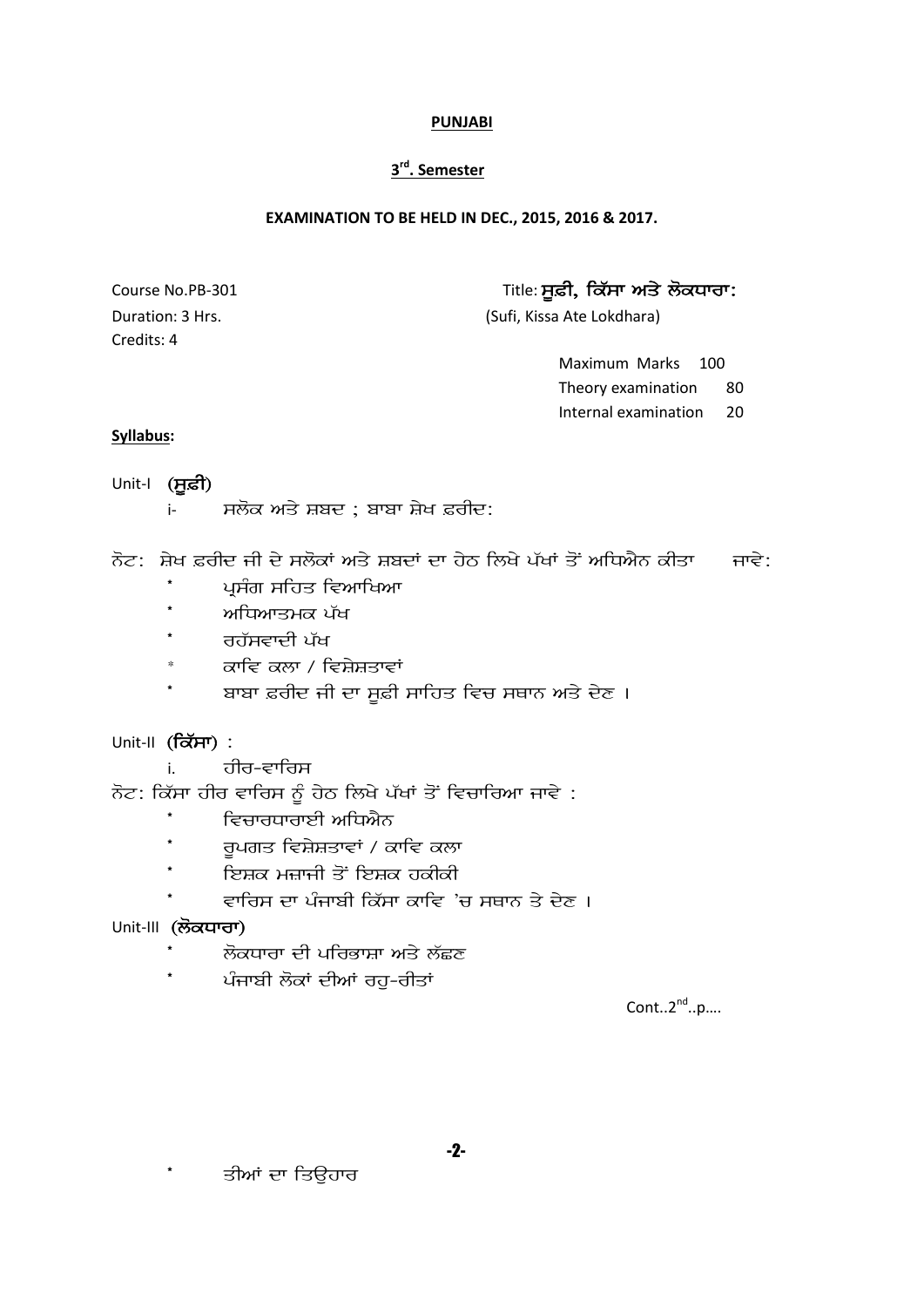## **3 rd. Semester**

#### **EXAMINATION TO BE HELD IN DEC., 2015, 2016 & 2017.**

Credits: 4

Course No.PB-301 2012 12 20 2013 15 2014 15 2014 15 2014 15 2014 15 2014 15 2014 16 2014 16 2014 16 2014 16 20

Duration: 3 Hrs. (Sufi, Kissa Ate Lokdhara)

Maximum Marks 100 Theory examination 80 Internal examination 20

#### **Syllabus:**

Unit-I (**ਸੁਫ਼ੀ**)

i- ਮਲੋਕ ਅਤੇ ਸ਼ਬਦ ; ਬਾਬਾ ਸ਼ੇਖ ਫ਼ਰੀਦ:

ਨੋਟ: ਸ਼ੇਖ ਫ਼ਰੀਦ ਜੀ ਦੇ ਸਲੋਕਾਂ ਅਤੇ ਸ਼ਬਦਾਂ ਦਾ ਹੇਠ ਲਿਖੇ ਪੱਖਾਂ ਤੋਂ ਅਧਿਐਨ ਕੀਤਾ  $\overline{a}$  ਜਾਵੇ:

- ਪੁਸੰਗ ਸਹਿਤ ਵਿਆਖਿਆ
- \* ਅਧਿਆਤਮਕ ਪੱਖ
- ਰਹੱਸਵਾਦੀ ਪੱਖ
- ਕਾਵਿ ਕਲਾ / ਵਿਸ਼ੇਸ਼ਤਾਵਾਂ
- ਬਾਬਾ ਫ਼ਰੀਦ ਜੀ ਦਾ ਸੁਫ਼ੀ ਸਾਹਿਤ ਵਿਚ ਸਥਾਨ ਅਤੇ ਦੇਣ ।
- Unit-II (ਕਿੱਸਾ) :
	- i. <del>तीत-द</del>र्गतप्त

ਨੋਟ: ਕਿੱਸਾ ਹੀਰ ਵਾਰਿਸ ਨੂੰ ਹੇਠ ਲਿਖੇ ਪੱਖਾਂ ਤੋਂ ਵਿਚਾਰਿਆ ਜਾਵੇ :

- ਵਿਚਾਰਧਾਰਾਈ ਅਧਿਐਨ
- ਰੁਪਗਤ ਵਿਸ਼ੇਸ਼ਤਾਵਾਂ / ਕਾਵਿ ਕਲਾ
- ਇਸ਼ਕ ਮਜ਼ਾਜੀ ਤੋਂ ਇਸ਼ਕ ਹਕੀਕੀ
	- ਵਾਰਿਸ ਦਾ ਪੰਜਾਬੀ ਕਿੱਸਾ ਕਾਵਿ 'ਚ ਸਥਾਨ ਤੇ ਦੇਣ ।

## Unit-III (ਲੋਕਧਾਰਾ)

- ਲੋਕਧਾਰਾ ਦੀ ਪਰਿਭਾਸ਼ਾ ਅਤੇ ਲੱਛਣ
- ਪੰਜਾਬੀ ਲੋਕਾਂ ਦੀਆਂ ਰਹ-ਰੀਤਾਂ

 $Cont..2<sup>nd</sup>..p....$ 

ਤੀਆਂ ਦਾ ਤਿਉਹਾਰ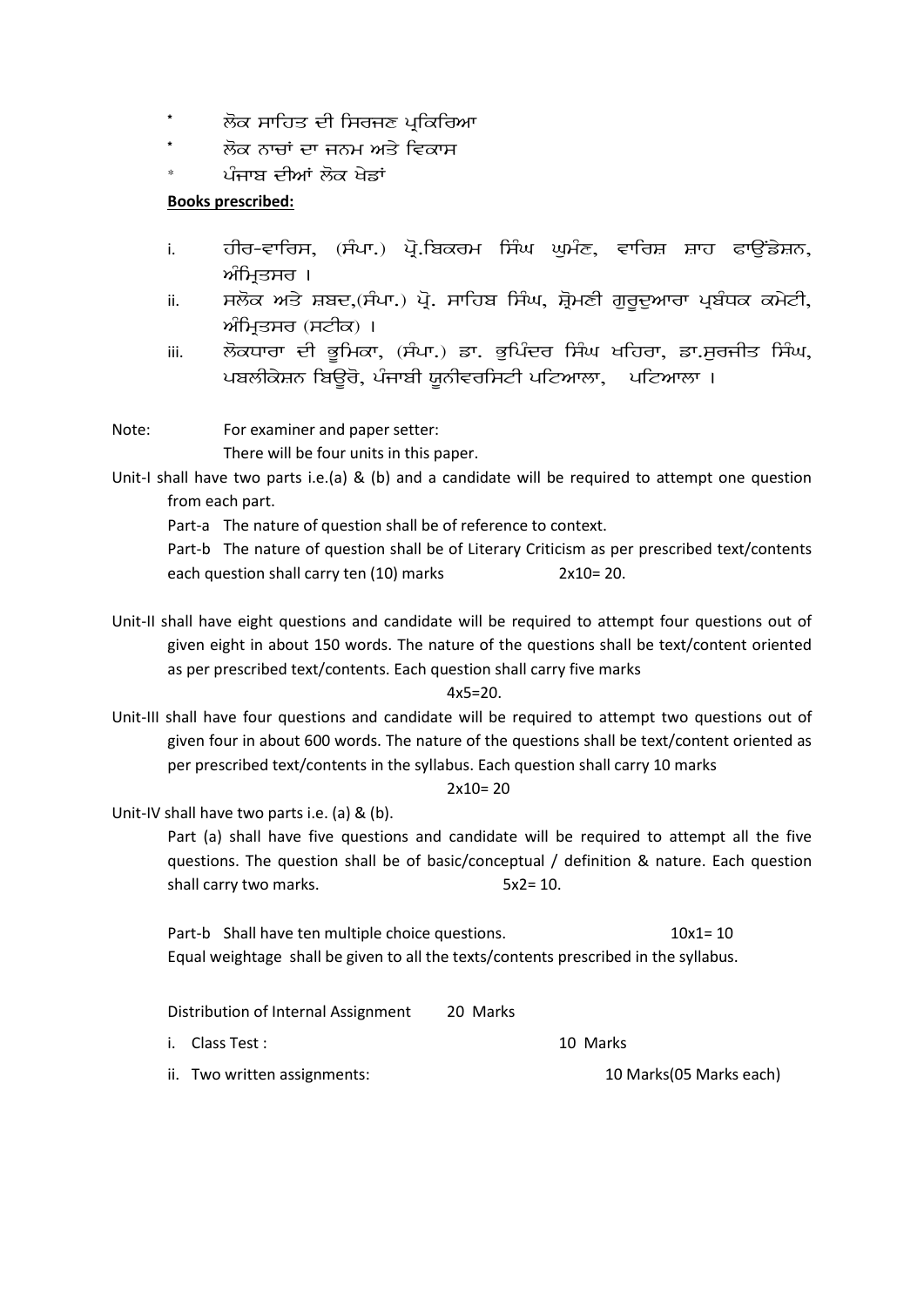- ਲੋਕ ਸਾਹਿਤ ਦੀ ਸਿਰਜਣ ਪਕਿਰਿਆ
- ਲੋਕ ਨਾਜਾਂ ਦਾ ਜਨਮ ਅਤੇ ਵਿਕਾਸ
- ਪੰਜਾਬ ਦੀਆਂ ਲੋਕ ਖੇਡਾਂ

#### **Books prescribed:**

- i. ਹੀਰ-ਵਾਰਿਸ, (ਸੰਪਾ.) ਪੋ.ਬਿਕਰਮ ਸਿੰਘ ਘਮੰਣ, ਵਾਰਿਸ਼ ਸ਼ਾਹ ਫਾਉਂਡੇਸ਼ਨ, ਅੰਮਿਤਸਰ ।
- ii. ਸਲੋਕ ਅਤੇ ਸ਼ਬਦ,(ਸੰਪਾ.) ਪੋ. ਸਾਹਿਬ ਸਿੰਘ, ਸ਼ੋਮਣੀ ਗਰਦਆਰਾ ਪਬੰਧਕ ਕਮੇਟੀ, ਅੰਮਿਤਸਰ (ਸਟੀਕ) ।
- iii. ਲੋਕਧਾਰਾ ਦੀ ਭੂਮਿਕਾ, (ਸੰਪਾ.) ਡਾ. ਭੂਪਿੰਦਰ ਸਿੰਘ ਖਹਿਰਾ, ਡਾ.ਸੂਰਜੀਤ ਸਿੰਘ, ਪਬਲੀਕੇਸ਼ਨ ਬਿਊਰੋ, ਪੰਜਾਬੀ ਯੂਨੀਵਰਸਿਟੀ ਪਟਿਆਲਾ, ਪਟਿਆਲਾ ।

Note: For examiner and paper setter:

There will be four units in this paper.

Unit-I shall have two parts i.e.(a) & (b) and a candidate will be required to attempt one question from each part.

Part-a The nature of question shall be of reference to context.

Part-b The nature of question shall be of Literary Criticism as per prescribed text/contents each question shall carry ten (10) marks 2x10= 20.

Unit-II shall have eight questions and candidate will be required to attempt four questions out of given eight in about 150 words. The nature of the questions shall be text/content oriented as per prescribed text/contents. Each question shall carry five marks

#### $4x5=20$ .

Unit-III shall have four questions and candidate will be required to attempt two questions out of given four in about 600 words. The nature of the questions shall be text/content oriented as per prescribed text/contents in the syllabus. Each question shall carry 10 marks

#### $2x10=20$

Unit-IV shall have two parts i.e. (a) & (b).

Part (a) shall have five questions and candidate will be required to attempt all the five questions. The question shall be of basic/conceptual / definition & nature. Each question shall carry two marks. 5x2= 10.

Part-b Shall have ten multiple choice questions. 10x1= 10 Equal weightage shall be given to all the texts/contents prescribed in the syllabus.

Distribution of Internal Assignment 20 Marks

- i. Class Test : 10 Marks
- ii. Two written assignments: 10 Marks (05 Marks each)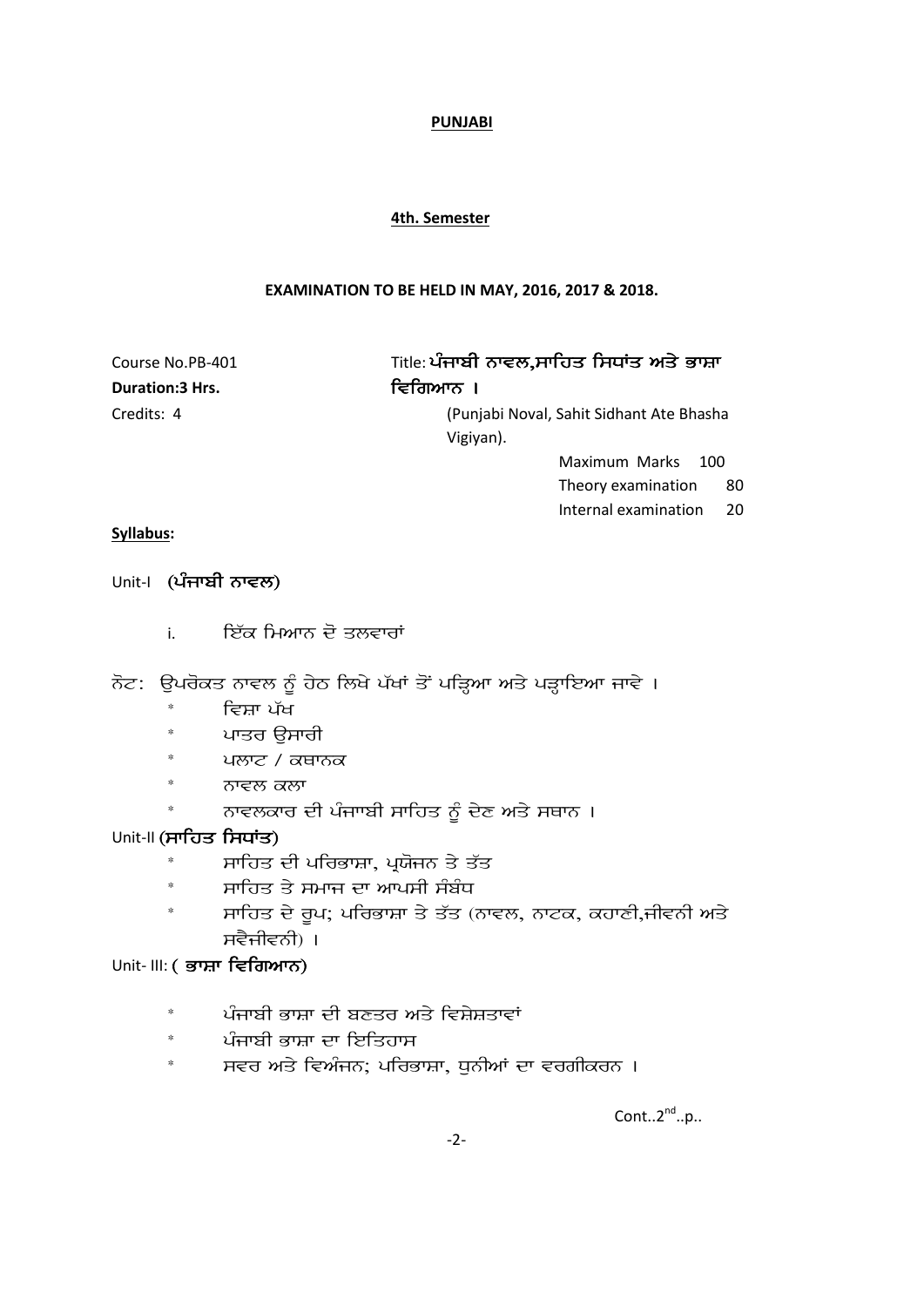#### **4th. Semester**

#### **EXAMINATION TO BE HELD IN MAY, 2016, 2017 & 2018.**

**Duration:3 Hrs.** ivitation:3 Hrs.

# Course No.PB-401 Title: ਪੰਜਾਬੀ ਨਾਵਲ,ਸਾਹਿਤ ਸਿਧਾਂਤ ਅਤੇ ਭਾਸ਼ਾ

Credits: 4 (Punjabi Noval, Sahit Sidhant Ate Bhasha Vigiyan).

Maximum Marks 100

Theory examination 80

Internal examination 20

#### **Syllabus:**

#### Unit-I (ਪੰਜਾਬੀ ਨਾਵਲ)

i. ਇੱਕ ਮਿਆਨ ਦੋ ਤਲਵਾਰਾਂ

ਨੋਟ: ਉਪਰੋਕਤ ਨਾਵਲ ਨੂੰ ਹੇਠ ਲਿਖੇ ਪੱਖਾਂ ਤੋਂ ਪੜ੍ਹਿਆ ਅਤੇ ਪੜ੍ਹਾਇਆ ਜਾਵੇ ।

- \* ਵਿਸ਼ਾ ਪੱਖ
- ਪਾਤਰ ੳਸਾਰੀ
- ਪਲਾਟ / ਕਥਾਨਕ
- ਨਾਵਲ ਕਲਾ
- ਨਾਵਲਕਾਰ ਦੀ ਪੰਜਾਬੀ ਸਾਹਿਤ ਨੂੰ ਦੇਣ ਅਤੇ ਸਥਾਨ ।

#### Unit-II (ਸਾਹਿਤ ਸਿਧਾਂਤ)

- ਸਾਹਿਤ ਦੀ ਪਰਿਭਾਸ਼ਾ, ਪੁਯੋਜਨ ਤੇ ਤੱਤ
- $^*$  ਮਾਹਿਤ ਤੇ ਸਮਾਜ ਦਾ ਆਪਸੀ ਸੰਬੰਧ
- $^*$  swiftler and the dividing property and the piracle and the piracle and the piracle and  $\pi$ ਸਵੈਜੀਵਨੀ) ।

## Unit- III: (ਭਾਸ਼ਾ ਵਿਗਿਆਨ)

- ਪੰਜਾਬੀ ਭਾਸ਼ਾ ਦੀ ਬਣਤਰ ਅਤੇ ਵਿਸ਼ੇਸ਼ਤਾਵਾਂ
- \* ਪੰਜਾਬੀ ਭਾਸ਼ਾ ਦਾ ਇਤਿਹਾਸ
- ਸਵਰ ਅਤੇ ਵਿਅੰਜਨ; ਪਰਿਭਾਸ਼ਾ, ਧੁਨੀਆਂ ਦਾ ਵਰਗੀਕਰਨ ।

Cont.. $2^{nd}$ ..p..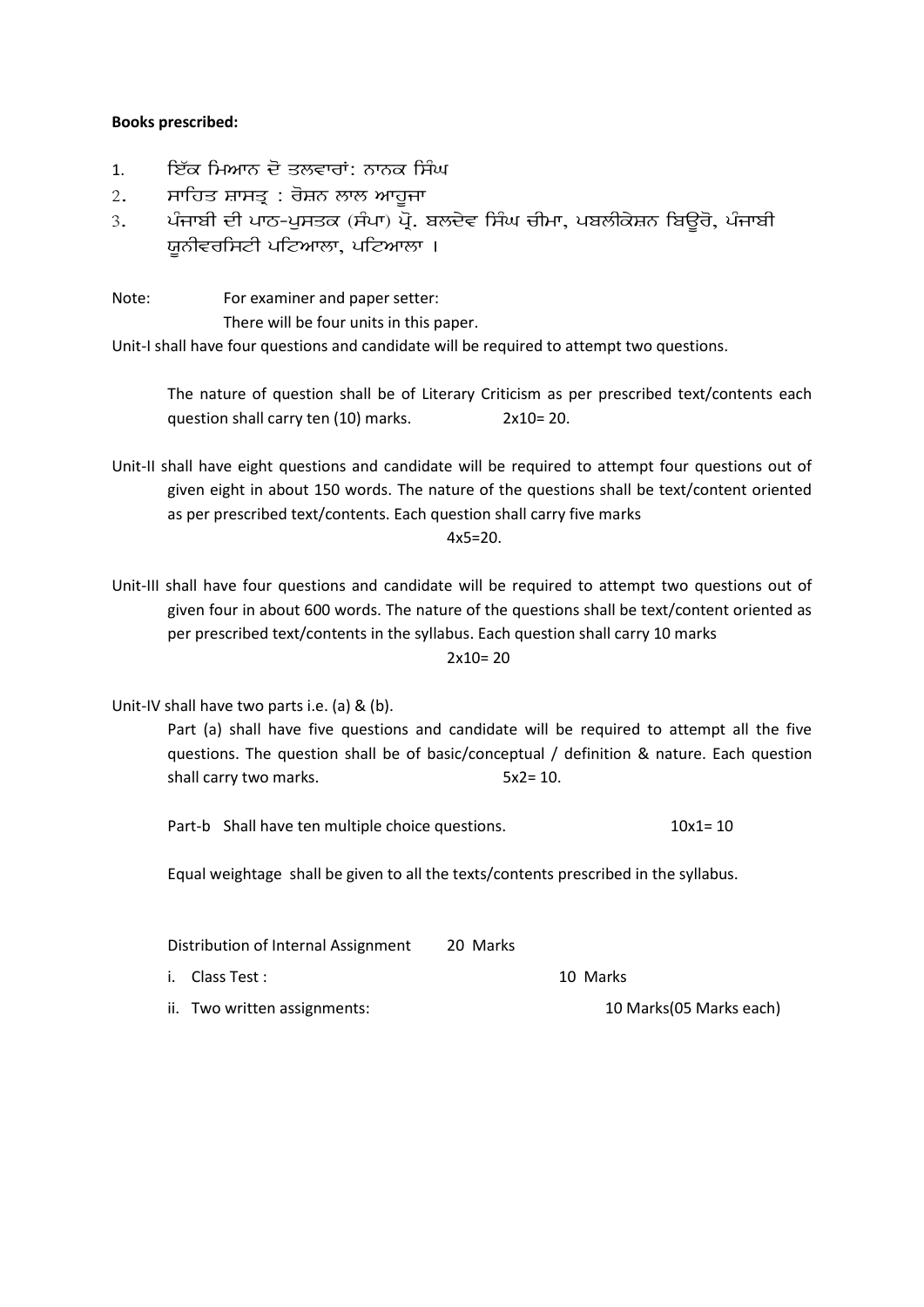#### **Books prescribed:**

- 1. ਇੱਕ ਮਿਆਨ ਦੋ ਤਲਵਾਰਾਂ: ਨਾਨਕ ਸਿੰਘ
- $2.$  ਬਾਹਿਤ ਸ਼ਾਸਤ੍ਰ $:$  ਰੋਸ਼ਨ ਲਾਲ ਆਹਜਾ
- 3. ਪੰਜਾਬੀ ਦੀ ਪਾਠ-ਪੁਸਤਕ (ਸੰਪਾ) ਪ੍ਰੋ. ਬਲਦੇਵ ਸਿੰਘ ਚੀਮਾ, ਪਬਲੀਕੇਸ਼ਨ ਬਿਊਰੋ, ਪੰਜਾਬੀ ਯਨੀਵਰਸਿਟੀ ਪਟਿਆਲਾ, ਪਟਿਆਲਾ ।
- Note: For examiner and paper setter:

There will be four units in this paper.

Unit-I shall have four questions and candidate will be required to attempt two questions.

The nature of question shall be of Literary Criticism as per prescribed text/contents each question shall carry ten (10) marks. 2x10= 20.

Unit-II shall have eight questions and candidate will be required to attempt four questions out of given eight in about 150 words. The nature of the questions shall be text/content oriented as per prescribed text/contents. Each question shall carry five marks

 $4x5=20$ .

Unit-III shall have four questions and candidate will be required to attempt two questions out of given four in about 600 words. The nature of the questions shall be text/content oriented as per prescribed text/contents in the syllabus. Each question shall carry 10 marks

 $2x10=20$ 

Unit-IV shall have two parts i.e. (a) & (b).

Part (a) shall have five questions and candidate will be required to attempt all the five questions. The question shall be of basic/conceptual / definition & nature. Each question shall carry two marks. 5x2= 10.

Part-b Shall have ten multiple choice questions. 10x1= 10

Equal weightage shall be given to all the texts/contents prescribed in the syllabus.

| Distribution of Internal Assignment |                              | 20 Marks |                         |
|-------------------------------------|------------------------------|----------|-------------------------|
|                                     | i. Class Test :              |          | 10 Marks                |
|                                     | ii. Two written assignments: |          | 10 Marks(05 Marks each) |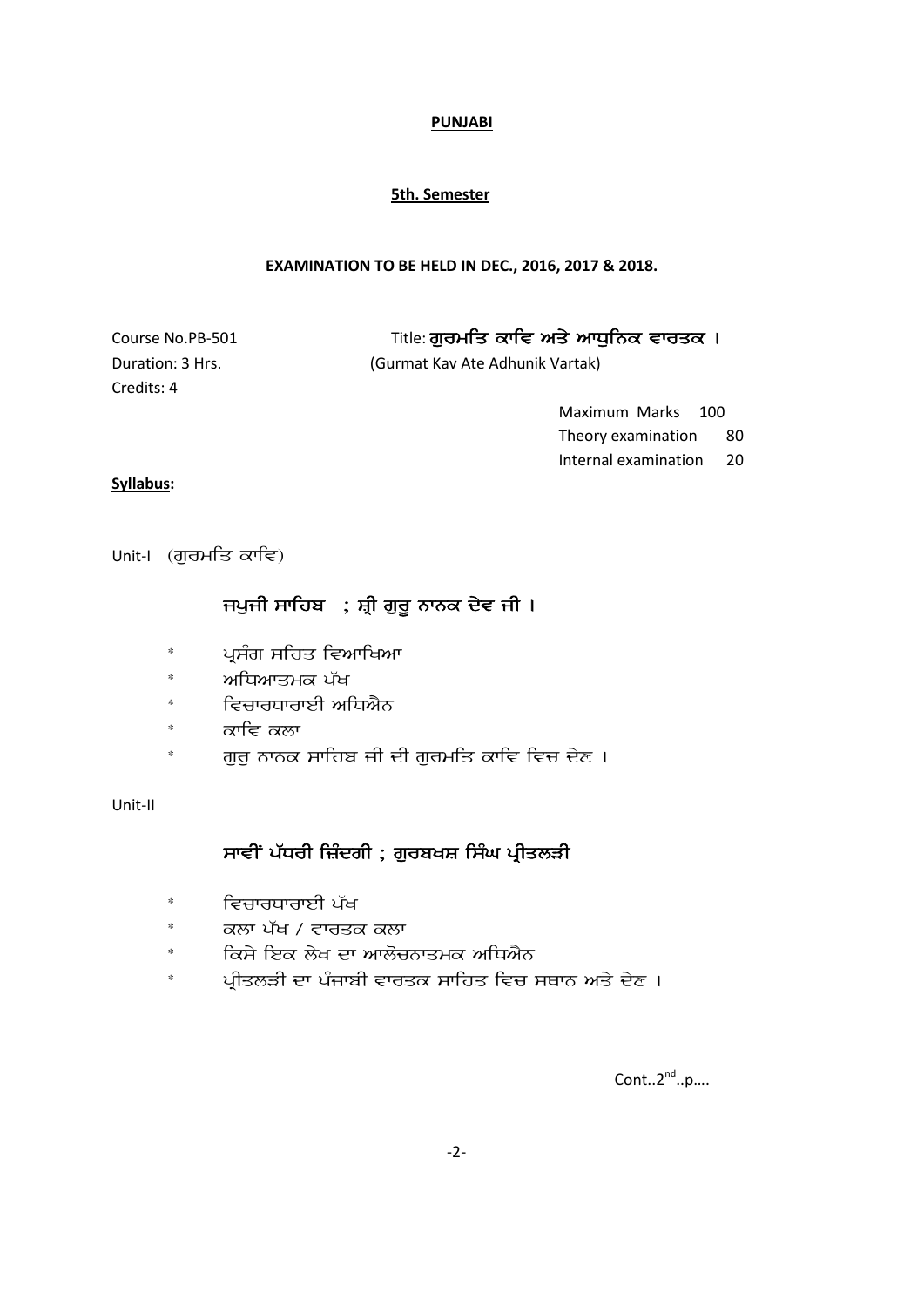#### **5th. Semester**

#### **EXAMINATION TO BE HELD IN DEC., 2016, 2017 & 2018.**

Duration: 3 Hrs. (Gurmat Kav Ate Adhunik Vartak) Credits: 4

Course No.PB-501 Title: ਗੁਰਮਤਿ ਕਾਵਿ ਅਤੇ ਆਧੁਨਿਕ ਵਾਰਤਕ ।

Maximum Marks 100 Theory examination 80 Internal examination 20

#### **Syllabus:**

 $Unit-I$  (ਗਰਮਤਿ ਕਾਵਿ)

## ਜਪੁਜੀ ਸਾਹਿਬ $\;$ ; ਸ਼੍ਰੀ ਗੁਰੂ ਨਾਨਕ ਦੇਵ ਜੀ ।

- ਪਸੰਗ ਸਹਿਤ ਵਿਆਖਿਆ
- \* ਅਧਿਆਤਮਕ ਪੱਖ
- \* ਵਿਚਾਰਧਾਰਾਈ ਅਧਿਐਨ
- \* ਕਾਵਿ ਕਲਾ
- ਗਰ ਨਾਨਕ ਸਾਹਿਬ ਜੀ ਦੀ ਗਰਮਤਿ ਕਾਵਿ ਵਿਚ ਦੇਣ ।

#### Unit-II

## ਸਾਵੀਂ ਪੱਧਰੀ ਜ਼ਿੰਦਗੀ ; ਗੁਰਬਖਸ਼ ਸਿੰਘ ਪ੍ਰੀਤਲੜੀ

- \* ਵਿਚਾਰਧਾਰਾਈ ਪੱਖ
- \* ਕਲਾ ਪੱਖ / ਵਾਰਤਕ ਕਲਾ
- $^*$  icanੇ ਇਕ ਲੇਖ ਦਾ ਆਲੋਚਨਾਤਮਕ ਅਧਿਐਨ
- $^*$  ਪੀਤਲੜੀ ਦਾ ਪੰਜਾਬੀ ਵਾਰਤਕ ਸਾਹਿਤ ਵਿਚ ਸਥਾਨ ਅਤੇ ਦੇਣ ।

 $Cont..2<sup>nd</sup>..p....$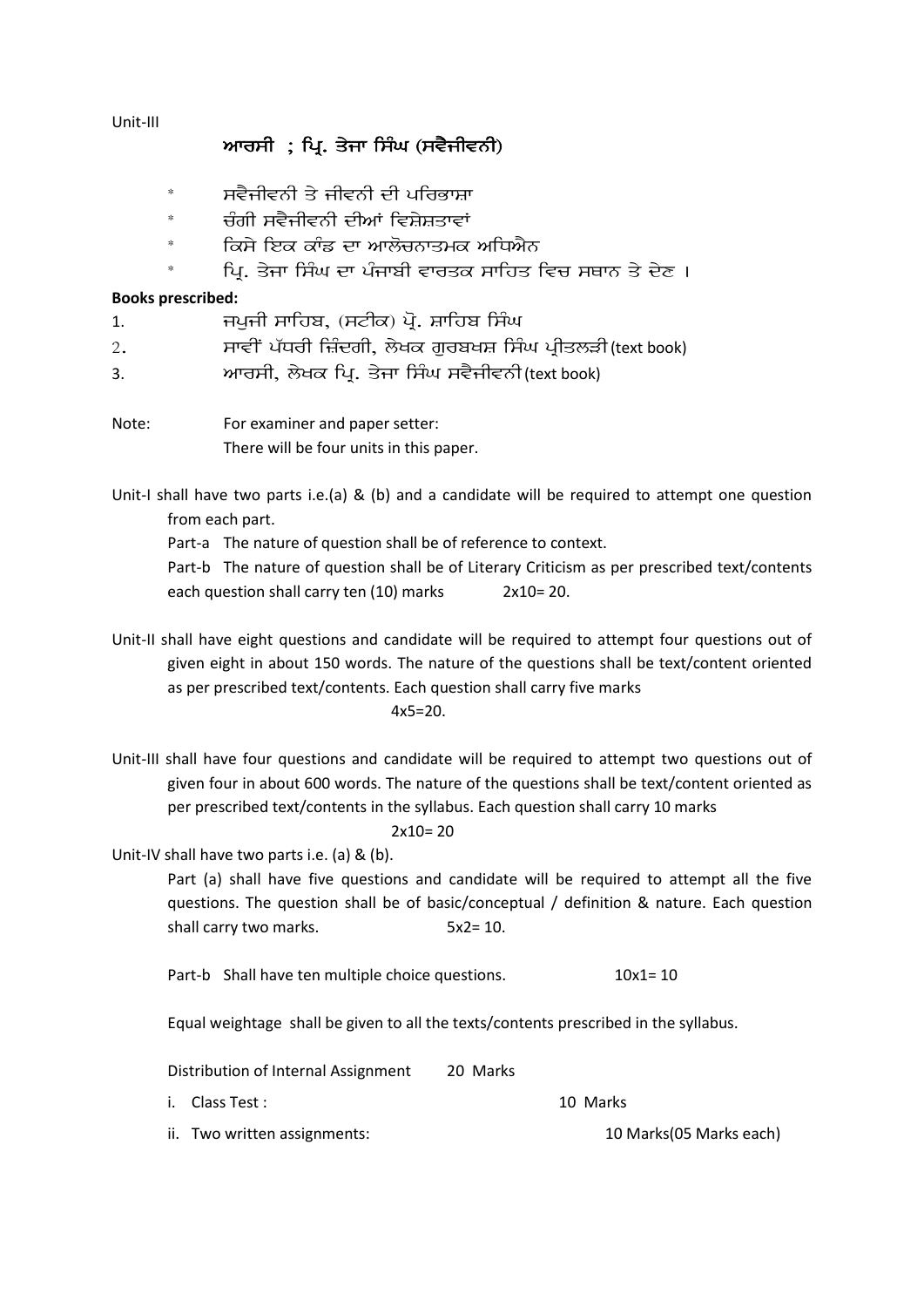Unit-III

## ਆਰਸੀ; ਪ੍ਰਿ. ਤੇਜਾ ਸਿੰਘ (ਸਵੈਜੀਵਨੀ)

- ਸਵੈਜੀਵਨੀ ਤੇ ਜੀਵਨੀ ਦੀ ਪਰਿਭਾਸ਼ਾ
- ਚੰਗੀ ਸਵੈਜੀਵਨੀ ਦੀਆਂ ਵਿਸ਼ੇਸ਼ਤਾਵਾਂ
- ਕਿਸੇ ਇਕ ਕਾੰਡ ਦਾ ਆਲੋਚਨਾਤਮਕ ਅਧਿਐਨ
- $^*$  ipp. ਮਿੰਗ ਇਸੇ ਪੰਜਾਬੀ ਵਾਰਤਕ ਸਾਹਿਤ ਵਿਚ ਸਥਾਨ ਤੇ ਦੇਣ ।

#### **Books prescribed:**

- 1. jpujI swihb, (stIk) poR. Swihb isMG
- $2.$   $\blacksquare$  ਸਾਵੀਂ ਪੱਧਰੀ ਜ਼ਿੰਦਗੀ, ਲੇਖਕ ਗਰਬਖਸ਼ ਸਿੰਘ ਪ੍ਰੀਤਲੜੀ(text book)
- 3. AwrsI, lyKk ipR. qyjw isMG svYjIvnI (text book)
- Note: For examiner and paper setter: There will be four units in this paper.

Unit-I shall have two parts i.e.(a) & (b) and a candidate will be required to attempt one question from each part.

Part-a The nature of question shall be of reference to context.

Part-b The nature of question shall be of Literary Criticism as per prescribed text/contents each question shall carry ten (10) marks 2x10= 20.

- Unit-II shall have eight questions and candidate will be required to attempt four questions out of given eight in about 150 words. The nature of the questions shall be text/content oriented as per prescribed text/contents. Each question shall carry five marks  $4x5=20$ .
	-
- Unit-III shall have four questions and candidate will be required to attempt two questions out of given four in about 600 words. The nature of the questions shall be text/content oriented as per prescribed text/contents in the syllabus. Each question shall carry 10 marks

#### $2x10=20$

Unit-IV shall have two parts i.e. (a) & (b).

Part (a) shall have five questions and candidate will be required to attempt all the five questions. The question shall be of basic/conceptual / definition & nature. Each question shall carry two marks. 5x2= 10.

Part-b Shall have ten multiple choice questions. 10x1= 10

Equal weightage shall be given to all the texts/contents prescribed in the syllabus.

Distribution of Internal Assignment 20 Marks

i. Class Test : 10 Marks

ii. Two written assignments: 10 Marks (05 Marks each)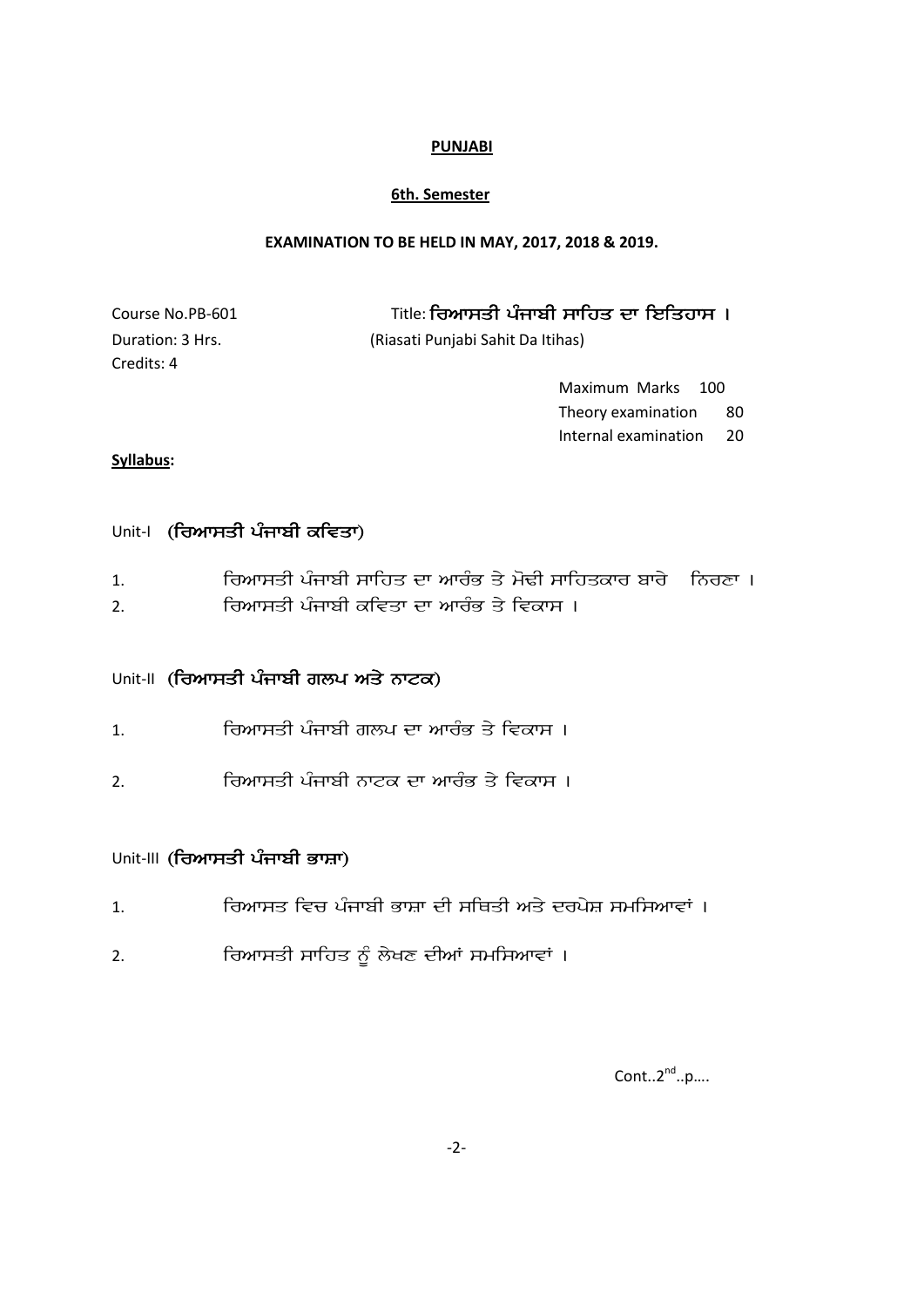#### **6th. Semester**

#### **EXAMINATION TO BE HELD IN MAY, 2017, 2018 & 2019.**

| Course No.PB-601 | Title: ਰਿਆਸਤੀ ਪੰਜਾਬੀ ਸਾਹਿਤ ਦਾ ਇਤਿਹਾਸ । |
|------------------|----------------------------------------|
| Duration: 3 Hrs. | (Riasati Punjabi Sahit Da Itihas)      |
| Credits: 4       |                                        |
|                  | Maximum Marks 100                      |
|                  | Theory examination<br>-80              |

# **Syllabus:**

## Unit-I (ਰਿਆਸਤੀ ਪੰਜਾਬੀ ਕਵਿਤਾ)

| ਰਿਆਸਤੀ ਪੰਜਾਬੀ ਸਾਹਿਤ ਦਾ ਆਰੰਭ ਤੇ ਮੋਢੀ ਸਾਹਿਤਕਾਰ ਬਾਰੇ _ ਨਿਰਣਾ । |  |
|-------------------------------------------------------------|--|
| ਰਿਆਸਤੀ ਪੰਜਾਬੀ ਕਵਿਤਾ ਦਾ ਆਰੰਭ ਤੇ ਵਿਕਾਸ ।                      |  |

## Unit-II (ਰਿਆਸਤੀ ਪੰਜਾਬੀ ਗਲਪ ਅਤੇ ਨਾਟਕ)

- 1. irAwsqI pMjwbI glp dw AwrMB qy ivkws [
- 2. ਰਿਆਸਤੀ ਪੰਜਾਬੀ ਨਾਟਕ ਦਾ ਆਰੰਭ ਤੇ ਵਿਕਾਸ ।

## Unit-III (ਰਿਆਸਤੀ ਪੰਜਾਬੀ ਭਾਸ਼ਾ)

- 1. ਰਿਆਸਤ ਵਿਚ ਪੰਜਾਬੀ ਭਾਸ਼ਾ ਦੀ ਸਥਿਤੀ ਅਤੇ ਦਰਪੇਸ਼ ਸਮਸਿਆਵਾਂ ।
- 2. ਰਿਆਸਤੀ ਸਾਹਿਤ ਨੂੰ ਲੇਖਣ ਦੀਆਂ ਸਮਸਿਆਵਾਂ ।

 $Cont..2<sup>nd</sup>..p....$ 

Internal examination 20